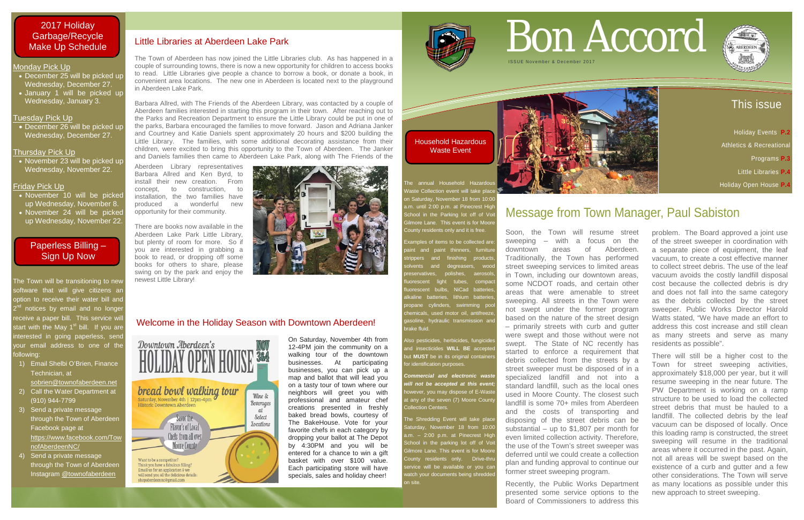## This issue

 Holiday Events **P.2**  Athletics & Recreationa Programs **P.3**  Little Libraries **P.4** Holiday Open House **P.4**

- December 25 will be picked up Wednesday, December 27.
- January 1 will be picked up Wednesday, January 3.

#### Monday Pick Up

• December 26 will be picked up Wednesday, December 27.

• November 23 will be picked up Wednesday, November 22.

#### Tuesday Pick Up

#### Thursday Pick Up

#### Friday Pick Up

The Town will be transitioning to new software that will give citizens ar option to receive their water bill and <sup>nd</sup> notices by email and no longer receive a paper bill. This service will start with the May 1<sup>st</sup> bill. If you are interested in going paperless, send your email address to one of the following:

- November 10 will be picked up Wednesday, November 8.
- November 24 will be picked up Wednesday, November 22.

ne annual Household Hazard Vaste Collection event will take place n Saturday, November 18 from 10:00 a.m. until 2:00 p.m. at Pinecrest High School in the Parking lot off of Vo ilmore Lane. This event is for Moore County residents only and it is free.

- 1) Email Shelbi O'Brien, Finance Technician, at
	- [sobrien@townofaberdeen.net](mailto:sobrien@townofaberdeen.net)
- 2) Call the Water Department at (910) 944-7799
- 3) Send a private message through the Town of Aberdeen Facebook page at [https://www.facebook.com/Tow](https://www.facebook.com/TownofAberdeenNC/) [nofAberdeenNC/](https://www.facebook.com/TownofAberdeenNC/)
- 4) Send a private message through the Town of Aberdeen Instagram @townofaberdeen

The Shredding Event will take place aturday, November 18 from 10:00 a.m. – 2:00 p.m. at Pinecrest High School in the parking lot off of Vo Silmore Lane. This event is for Moore County residents only. Drive-thru ervice will be available or you can atch your documents being shredde on site.



# Bon Accord ISSUE November & December 2017

Examples of items to be collected are: aint and paint thinners, furniture trippers and finishing products and degreasers, wood polishes, aerosol uorescent light tubes, compact uorescent bulbs, NiCad batteries batteries, lithium batteries cylinders, swimming poo emicals, used motor oil, antifreeze asoline, hydraulic transmission and brake fluid.

Iso pesticides, herbicides, fungicide and insecticides **WILL BE** accepted but **MUST** be in its original container for identification purposes.

*Commercial and electronic waste will not be accepted at this event;* however, you may dispose of E-Waste at any of the seven (7) Moore Count Collection Centers.

On Saturday, November 4th from



12-4PM join the community on a walking tour of the downtown businesses. At participating businesses, you can pick up a map and ballot that will lead you on a tasty tour of town where our neighbors will greet you with professional and amateur chef creations presented in freshly baked bread bowls, courtesy of The BakeHouse. Vote for your favorite chefs in each category by dropping your ballot at The Depot by 4:30PM and you will be entered for a chance to win a gift basket with over \$100 value. Each participating store will have specials, sales and holiday cheer!

## Message from Town Manager, Paul Sabiston

Soon, the Town will resume street sweeping – with a focus on the downtown areas of Aberdeen. Traditionally, the Town has performed street sweeping services to limited areas in Town, including our downtown areas, some NCDOT roads, and certain other areas that were amenable to street sweeping. All streets in the Town were not swept under the former program based on the nature of the street design – primarily streets with curb and gutter were swept and those without were not swept. The State of NC recently has started to enforce a requirement that debris collected from the streets by a street sweeper must be disposed of in a specialized landfill and not into a standard landfill, such as the local ones used in Moore County. The closest such landfill is some 70+ miles from Aberdeen and the costs of transporting and disposing of the street debris can be substantial – up to \$1,807 per month for even limited collection activity. Therefore, the use of the Town's street sweeper was deferred until we could create a collection plan and funding approval to continue our former street sweeping program.

Recently, the Public Works Department presented some service options to the Board of Commissioners to address this



problem. The Board approved a joint use of the street sweeper in coordination with a separate piece of equipment, the leaf vacuum, to create a cost effective manner to collect street debris. The use of the leaf vacuum avoids the costly landfill disposal cost because the collected debris is dry and does not fall into the same category as the debris collected by the street sweeper. Public Works Director Harold Watts stated, "We have made an effort to address this cost increase and still clean as many streets and serve as many residents as possible".

There will still be a higher cost to the Town for street sweeping activities, approximately \$18,000 per year, but it will resume sweeping in the near future. The PW Department is working on a ramp structure to be used to load the collected street debris that must be hauled to a landfill. The collected debris by the leaf vacuum can be disposed of locally. Once this loading ramp is constructed, the street sweeping will resume in the traditional areas where it occurred in the past. Again, not all areas will be swept based on the existence of a curb and gutter and a few other considerations. The Town will serve as many locations as possible under this new approach to street sweeping.

Household Hazardous Waste Event

### 2017 Holiday Garbage/Recycle Make Up Schedule

### Paperless Billing – Sign Up Now

#### Little Libraries at Aberdeen Lake Park

The Town of Aberdeen has now joined the Little Libraries club. As has happened in a couple of surrounding towns, there is now a new opportunity for children to access books to read. Little Libraries give people a chance to borrow a book, or donate a book, in convenient area locations. The new one in Aberdeen is located next to the playground in Aberdeen Lake Park.

Barbara Allred, with The Friends of the Aberdeen Library, was contacted by a couple of Aberdeen families interested in starting this program in their town. After reaching out to the Parks and Recreation Department to ensure the Little Library could be put in one of the parks, Barbara encouraged the families to move forward. Jason and Adriana Janker and Courtney and Katie Daniels spent approximately 20 hours and \$200 building the Little Library. The families, with some additional decorating assistance from their children, were excited to bring this opportunity to the Town of Aberdeen. The Janker and Daniels families then came to Aberdeen Lake Park, along with The Friends of the

Aberdeen Library representatives Barbara Allred and Ken Byrd, to install their new creation. From concept, to construction, to installation, the two families have produced a wonderful new opportunity for their community.

There are books now available in the Aberdeen Lake Park Little Library, but plenty of room for more. So if you are interested in grabbing a book to read, or dropping off some books for others to share, please swing on by the park and enjoy the newest Little Library!



### Welcome in the Holiday Season with Downtown Aberdeen!

Downtown Aberdeen's bread bowl walking tour Wine & Saturday, November 4th | 12pm-4pm **Beverages Historic Downtown Aberdeen**  $\alpha$ **Select Locations Flavor's of Local** Chefs from all over **Moore County** Want to be a competitor Think you have a fabulous filling? Email us for an application & we will send you all the delicious details nc@amail.com